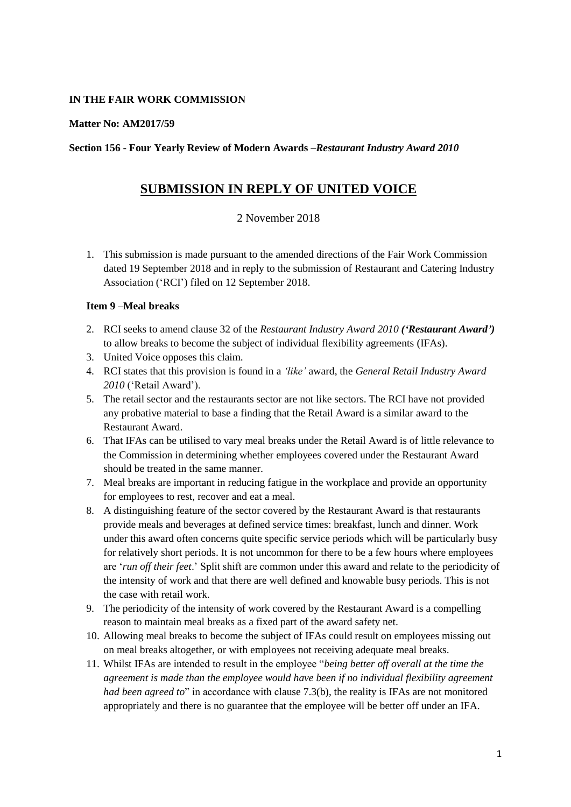## **IN THE FAIR WORK COMMISSION**

#### **Matter No: AM2017/59**

#### **Section 156 - Four Yearly Review of Modern Awards –***Restaurant Industry Award 2010*

# **SUBMISSION IN REPLY OF UNITED VOICE**

## 2 November 2018

1. This submission is made pursuant to the amended directions of the Fair Work Commission dated 19 September 2018 and in reply to the submission of Restaurant and Catering Industry Association ('RCI') filed on 12 September 2018.

### **Item 9 –Meal breaks**

- 2. RCI seeks to amend clause 32 of the *Restaurant Industry Award 2010 ('Restaurant Award')* to allow breaks to become the subject of individual flexibility agreements (IFAs).
- 3. United Voice opposes this claim.
- 4. RCI states that this provision is found in a *'like'* award, the *General Retail Industry Award 2010* ('Retail Award').
- 5. The retail sector and the restaurants sector are not like sectors. The RCI have not provided any probative material to base a finding that the Retail Award is a similar award to the Restaurant Award.
- 6. That IFAs can be utilised to vary meal breaks under the Retail Award is of little relevance to the Commission in determining whether employees covered under the Restaurant Award should be treated in the same manner.
- 7. Meal breaks are important in reducing fatigue in the workplace and provide an opportunity for employees to rest, recover and eat a meal.
- 8. A distinguishing feature of the sector covered by the Restaurant Award is that restaurants provide meals and beverages at defined service times: breakfast, lunch and dinner. Work under this award often concerns quite specific service periods which will be particularly busy for relatively short periods. It is not uncommon for there to be a few hours where employees are '*run off their feet*.' Split shift are common under this award and relate to the periodicity of the intensity of work and that there are well defined and knowable busy periods. This is not the case with retail work.
- 9. The periodicity of the intensity of work covered by the Restaurant Award is a compelling reason to maintain meal breaks as a fixed part of the award safety net.
- 10. Allowing meal breaks to become the subject of IFAs could result on employees missing out on meal breaks altogether, or with employees not receiving adequate meal breaks.
- 11. Whilst IFAs are intended to result in the employee "*being better off overall at the time the agreement is made than the employee would have been if no individual flexibility agreement had been agreed to*" in accordance with clause 7.3(b), the reality is IFAs are not monitored appropriately and there is no guarantee that the employee will be better off under an IFA.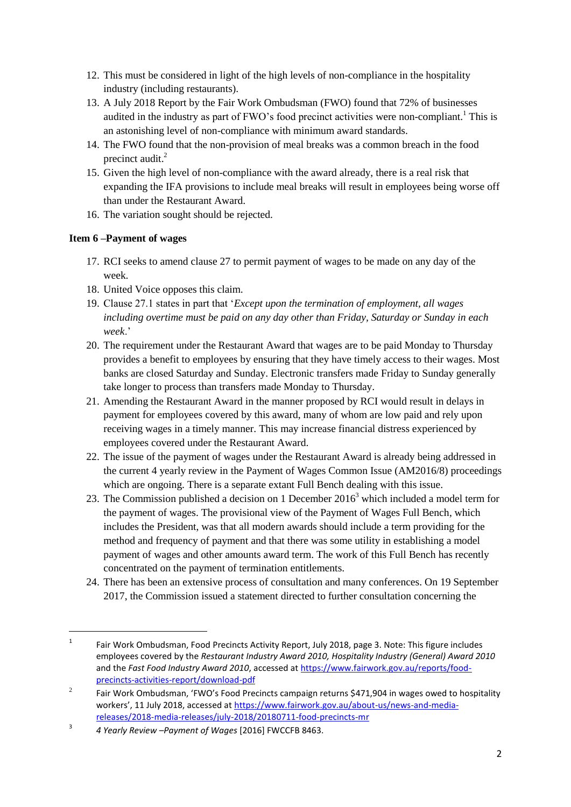- 12. This must be considered in light of the high levels of non-compliance in the hospitality industry (including restaurants).
- 13. A July 2018 Report by the Fair Work Ombudsman (FWO) found that 72% of businesses audited in the industry as part of  $FWO's$  food precinct activities were non-compliant.<sup>1</sup> This is an astonishing level of non-compliance with minimum award standards.
- 14. The FWO found that the non-provision of meal breaks was a common breach in the food precinct audit.<sup>2</sup>
- 15. Given the high level of non-compliance with the award already, there is a real risk that expanding the IFA provisions to include meal breaks will result in employees being worse off than under the Restaurant Award.
- 16. The variation sought should be rejected.

# **Item 6 –Payment of wages**

1

- 17. RCI seeks to amend clause 27 to permit payment of wages to be made on any day of the week.
- 18. United Voice opposes this claim.
- 19. Clause 27.1 states in part that '*Except upon the termination of employment, all wages including overtime must be paid on any day other than Friday, Saturday or Sunday in each week*.'
- 20. The requirement under the Restaurant Award that wages are to be paid Monday to Thursday provides a benefit to employees by ensuring that they have timely access to their wages. Most banks are closed Saturday and Sunday. Electronic transfers made Friday to Sunday generally take longer to process than transfers made Monday to Thursday.
- 21. Amending the Restaurant Award in the manner proposed by RCI would result in delays in payment for employees covered by this award, many of whom are low paid and rely upon receiving wages in a timely manner. This may increase financial distress experienced by employees covered under the Restaurant Award.
- 22. The issue of the payment of wages under the Restaurant Award is already being addressed in the current 4 yearly review in the Payment of Wages Common Issue (AM2016/8) proceedings which are ongoing. There is a separate extant Full Bench dealing with this issue.
- 23. The Commission published a decision on 1 December 2016<sup>3</sup> which included a model term for the payment of wages. The provisional view of the Payment of Wages Full Bench, which includes the President, was that all modern awards should include a term providing for the method and frequency of payment and that there was some utility in establishing a model payment of wages and other amounts award term. The work of this Full Bench has recently concentrated on the payment of termination entitlements.
- 24. There has been an extensive process of consultation and many conferences. On 19 September 2017, the Commission issued a statement directed to further consultation concerning the

<sup>1</sup> Fair Work Ombudsman, Food Precincts Activity Report, July 2018, page 3. Note: This figure includes employees covered by the *Restaurant Industry Award 2010, Hospitality Industry (General) Award 2010* and the *Fast Food Industry Award 2010*, accessed a[t https://www.fairwork.gov.au/reports/food](https://www.fairwork.gov.au/reports/food-precincts-activities-report/download-pdf)[precincts-activities-report/download-pdf](https://www.fairwork.gov.au/reports/food-precincts-activities-report/download-pdf)

 $\overline{2}$  Fair Work Ombudsman, 'FWO's Food Precincts campaign returns \$471,904 in wages owed to hospitality workers', 11 July 2018, accessed at [https://www.fairwork.gov.au/about-us/news-and-media](https://www.fairwork.gov.au/about-us/news-and-media-releases/2018-media-releases/july-2018/20180711-food-precincts-mr)[releases/2018-media-releases/july-2018/20180711-food-precincts-mr](https://www.fairwork.gov.au/about-us/news-and-media-releases/2018-media-releases/july-2018/20180711-food-precincts-mr)

<sup>3</sup> *4 Yearly Review –Payment of Wages* [2016] FWCCFB 8463.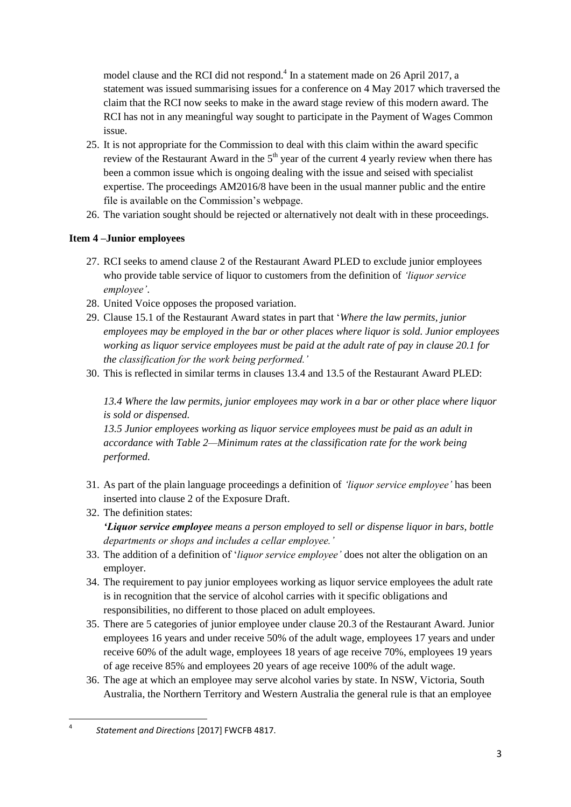model clause and the RCI did not respond.<sup>4</sup> In a statement made on 26 April 2017, a statement was issued summarising issues for a conference on 4 May 2017 which traversed the claim that the RCI now seeks to make in the award stage review of this modern award. The RCI has not in any meaningful way sought to participate in the Payment of Wages Common issue.

- 25. It is not appropriate for the Commission to deal with this claim within the award specific review of the Restaurant Award in the  $5<sup>th</sup>$  year of the current 4 yearly review when there has been a common issue which is ongoing dealing with the issue and seised with specialist expertise. The proceedings AM2016/8 have been in the usual manner public and the entire file is available on the Commission's webpage.
- 26. The variation sought should be rejected or alternatively not dealt with in these proceedings.

# **Item 4 –Junior employees**

- 27. RCI seeks to amend clause 2 of the Restaurant Award PLED to exclude junior employees who provide table service of liquor to customers from the definition of *'liquor service employee'*.
- 28. United Voice opposes the proposed variation.
- 29. Clause 15.1 of the Restaurant Award states in part that '*Where the law permits, junior employees may be employed in the bar or other places where liquor is sold. Junior employees working as liquor service employees must be paid at the adult rate of pay in clause 20.1 for the classification for the work being performed.'*
- 30. This is reflected in similar terms in clauses 13.4 and 13.5 of the Restaurant Award PLED:

*13.4 Where the law permits, junior employees may work in a bar or other place where liquor is sold or dispensed.*

*13.5 Junior employees working as liquor service employees must be paid as an adult in accordance with Table 2—Minimum rates at the classification rate for the work being performed.*

- 31. As part of the plain language proceedings a definition of *'liquor service employee'* has been inserted into clause 2 of the Exposure Draft.
- 32. The definition states:

*'Liquor service employee means a person employed to sell or dispense liquor in bars, bottle departments or shops and includes a cellar employee.'* 

- 33. The addition of a definition of '*liquor service employee'* does not alter the obligation on an employer.
- 34. The requirement to pay junior employees working as liquor service employees the adult rate is in recognition that the service of alcohol carries with it specific obligations and responsibilities, no different to those placed on adult employees.
- 35. There are 5 categories of junior employee under clause 20.3 of the Restaurant Award. Junior employees 16 years and under receive 50% of the adult wage, employees 17 years and under receive 60% of the adult wage, employees 18 years of age receive 70%, employees 19 years of age receive 85% and employees 20 years of age receive 100% of the adult wage.
- 36. The age at which an employee may serve alcohol varies by state. In NSW, Victoria, South Australia, the Northern Territory and Western Australia the general rule is that an employee

**<sup>.</sup>** 4 *Statement and Directions* [2017] FWCFB 4817.